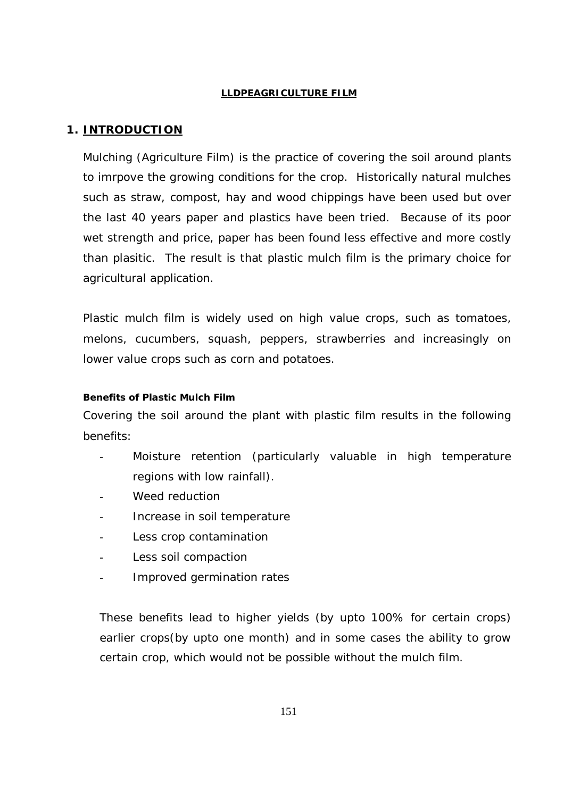#### **LLDPEAGRICULTURE FILM**

### **1. INTRODUCTION**

Mulching (Agriculture Film) is the practice of covering the soil around plants to imrpove the growing conditions for the crop. Historically natural mulches such as straw, compost, hay and wood chippings have been used but over the last 40 years paper and plastics have been tried. Because of its poor wet strength and price, paper has been found less effective and more costly than plasitic. The result is that plastic mulch film is the primary choice for agricultural application.

Plastic mulch film is widely used on high value crops, such as tomatoes, melons, cucumbers, squash, peppers, strawberries and increasingly on lower value crops such as corn and potatoes.

#### **Benefits of Plastic Mulch Film**

Covering the soil around the plant with plastic film results in the following benefits:

- Moisture retention (particularly valuable in high temperature regions with low rainfall).
- Weed reduction
- Increase in soil temperature
- Less crop contamination
- Less soil compaction
- Improved germination rates

These benefits lead to higher yields (by upto 100% for certain crops) earlier crops(by upto one month) and in some cases the ability to grow certain crop, which would not be possible without the mulch film.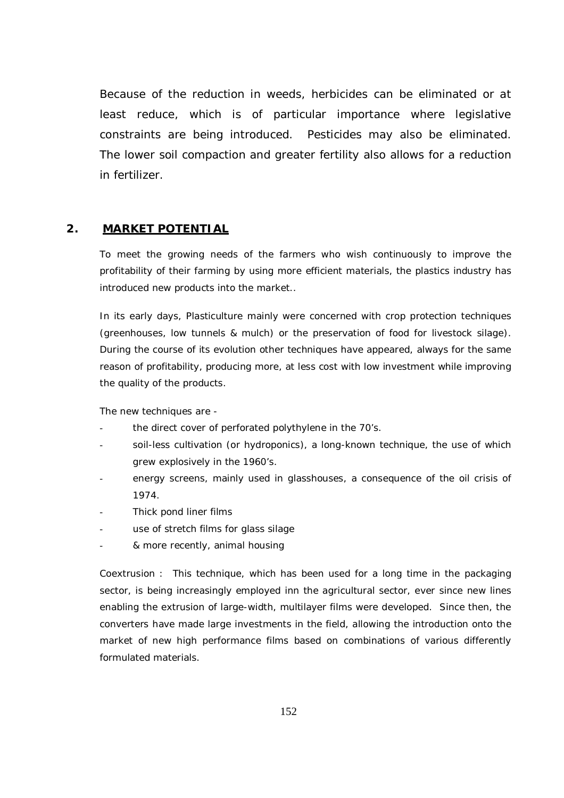Because of the reduction in weeds, herbicides can be eliminated or at least reduce, which is of particular importance where legislative constraints are being introduced. Pesticides may also be eliminated. The lower soil compaction and greater fertility also allows for a reduction in fertilizer.

#### **2. MARKET POTENTIAL**

To meet the growing needs of the farmers who wish continuously to improve the profitability of their farming by using more efficient materials, the plastics industry has introduced new products into the market..

In its early days, Plasticulture mainly were concerned with crop protection techniques (greenhouses, low tunnels & mulch) or the preservation of food for livestock silage). During the course of its evolution other techniques have appeared, always for the same reason of profitability, producing more, at less cost with low investment while improving the quality of the products.

The new techniques are -

- the direct cover of perforated polythylene in the 70's.
- soil-less cultivation (or hydroponics), a long-known technique, the use of which grew explosively in the 1960's.
- energy screens, mainly used in glasshouses, a consequence of the oil crisis of 1974.
- Thick pond liner films
- use of stretch films for glass silage
- & more recently, animal housing

Coextrusion : This technique, which has been used for a long time in the packaging sector, is being increasingly employed inn the agricultural sector, ever since new lines enabling the extrusion of large-width, multilayer films were developed. Since then, the converters have made large investments in the field, allowing the introduction onto the market of new high performance films based on combinations of various differently formulated materials.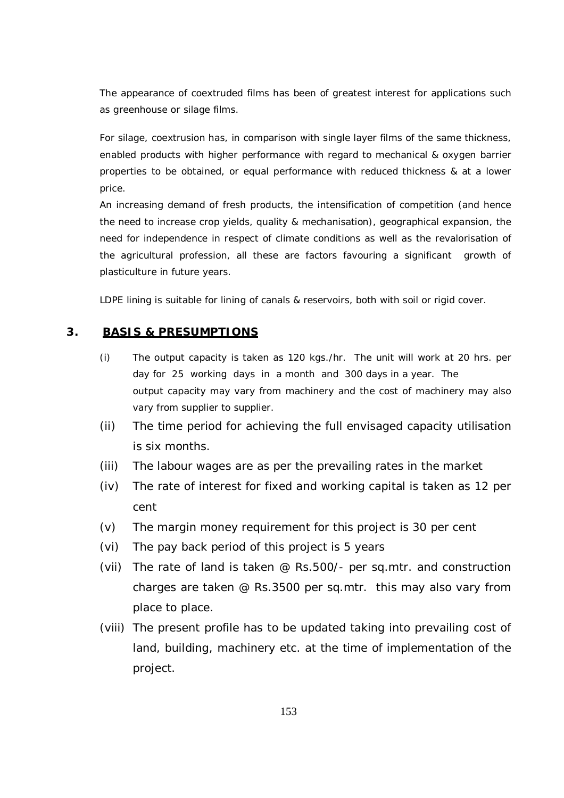The appearance of coextruded films has been of greatest interest for applications such as greenhouse or silage films.

For silage, coextrusion has, in comparison with single layer films of the same thickness, enabled products with higher performance with regard to mechanical & oxygen barrier properties to be obtained, or equal performance with reduced thickness & at a lower price.

An increasing demand of fresh products, the intensification of competition (and hence the need to increase crop yields, quality & mechanisation), geographical expansion, the need for independence in respect of climate conditions as well as the revalorisation of the agricultural profession, all these are factors favouring a significant growth of plasticulture in future years.

LDPE lining is suitable for lining of canals & reservoirs, both with soil or rigid cover.

#### **3. BASIS & PRESUMPTIONS**

- (i) The output capacity is taken as 120 kgs./hr. The unit will work at 20 hrs. per day for 25 working days in a month and 300 days in a year. The output capacity may vary from machinery and the cost of machinery may also vary from supplier to supplier.
- (ii) The time period for achieving the full envisaged capacity utilisation is six months.
- (iii) The labour wages are as per the prevailing rates in the market
- (iv) The rate of interest for fixed and working capital is taken as 12 per cent
- (v) The margin money requirement for this project is 30 per cent
- (vi) The pay back period of this project is 5 years
- (vii) The rate of land is taken @ Rs.500/- per sq.mtr. and construction charges are taken @ Rs.3500 per sq.mtr. this may also vary from place to place.
- (viii) The present profile has to be updated taking into prevailing cost of land, building, machinery etc. at the time of implementation of the project.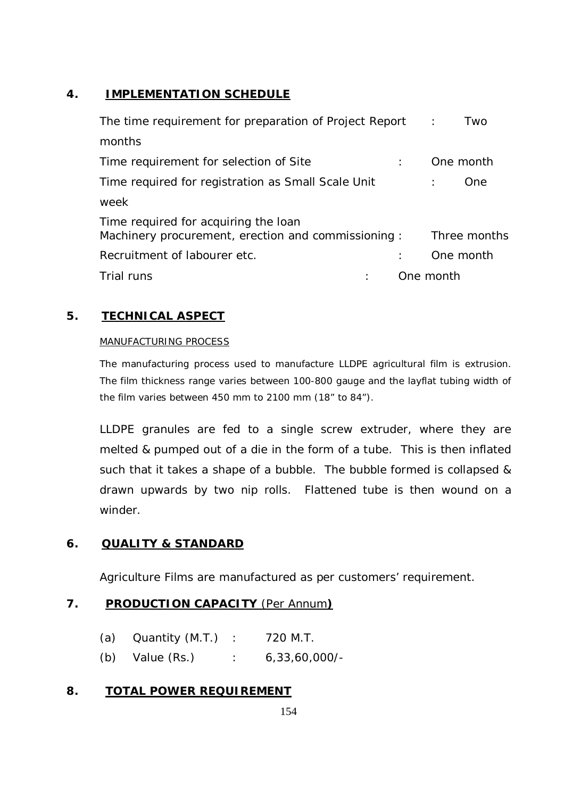# **4. IMPLEMENTATION SCHEDULE**

| The time requirement for preparation of Project Report :                                    | Two          |
|---------------------------------------------------------------------------------------------|--------------|
| months                                                                                      |              |
| Time requirement for selection of Site                                                      | One month    |
| Time required for registration as Small Scale Unit                                          | One.         |
| week                                                                                        |              |
| Time required for acquiring the loan<br>Machinery procurement, erection and commissioning : | Three months |
| Recruitment of labourer etc.                                                                | One month    |
| Trial runs                                                                                  | One month    |

# **5. TECHNICAL ASPECT**

#### MANUFACTURING PROCESS

The manufacturing process used to manufacture LLDPE agricultural film is extrusion. The film thickness range varies between 100-800 gauge and the layflat tubing width of the film varies between 450 mm to 2100 mm (18" to 84").

LLDPE granules are fed to a single screw extruder, where they are melted & pumped out of a die in the form of a tube. This is then inflated such that it takes a shape of a bubble. The bubble formed is collapsed & drawn upwards by two nip rolls. Flattened tube is then wound on a winder.

## **6. QUALITY & STANDARD**

Agriculture Films are manufactured as per customers' requirement.

## **7. PRODUCTION CAPACITY** (Per Annum**)**

| (a) | Quantity (M.T.) |  | 720 M.T. |
|-----|-----------------|--|----------|
|-----|-----------------|--|----------|

(b) Value (Rs.) : 6,33,60,000/-

### **8. TOTAL POWER REQUIREMENT**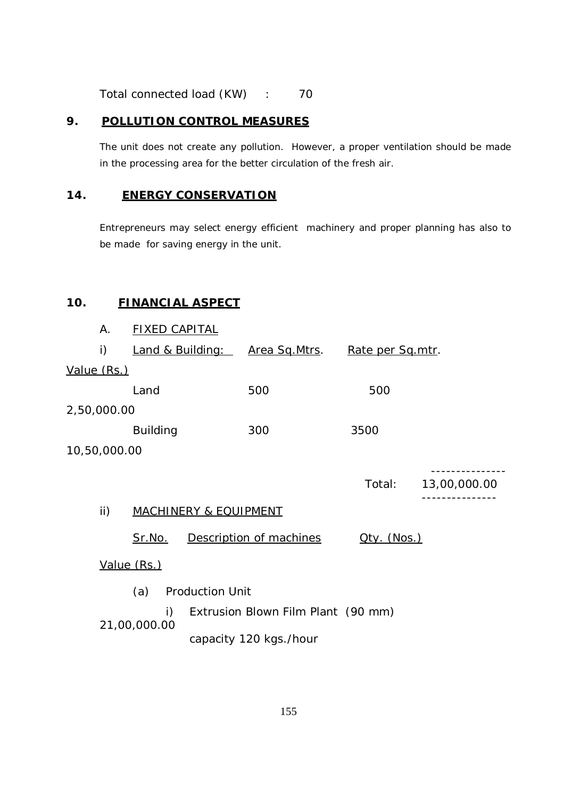Total connected load (KW) : 70

#### **9. POLLUTION CONTROL MEASURES**

The unit does not create any pollution. However, a proper ventilation should be made in the processing area for the better circulation of the fresh air.

#### **14. ENERGY CONSERVATION**

Entrepreneurs may select energy efficient machinery and proper planning has also to be made for saving energy in the unit.

### **10. FINANCIAL ASPECT**

|              | А.           |                 |                | <b>FIXED CAPITAL</b>               |                       |  |                  |                     |              |
|--------------|--------------|-----------------|----------------|------------------------------------|-----------------------|--|------------------|---------------------|--------------|
|              | i)           |                 |                | <b>Land &amp; Building:</b>        | <u>Area Sq.Mtrs</u> . |  | Rate per Sq.mtr. |                     |              |
|              | Value (Rs.)  |                 |                |                                    |                       |  |                  |                     |              |
|              |              | Land            |                |                                    | 500                   |  | 500              |                     |              |
|              | 2,50,000.00  |                 |                |                                    |                       |  |                  |                     |              |
|              |              | <b>Building</b> |                |                                    | 300                   |  | 3500             |                     |              |
|              | 10,50,000.00 |                 |                |                                    |                       |  |                  |                     |              |
|              |              |                 |                |                                    |                       |  | Total:           |                     | 13,00,000.00 |
|              | ii)          |                 |                | <u>MACHINERY &amp; EQUIPMENT</u>   |                       |  |                  |                     |              |
|              |              | Sr.No.          |                | Description of machines            |                       |  |                  | <u> Qty. (Nos.)</u> |              |
|              | Value (Rs.)  |                 |                |                                    |                       |  |                  |                     |              |
|              |              | (a)             |                | <b>Production Unit</b>             |                       |  |                  |                     |              |
|              |              |                 | $\mathsf{i}$ ) | Extrusion Blown Film Plant (90 mm) |                       |  |                  |                     |              |
| 21,00,000.00 |              |                 |                | capacity 120 kgs./hour             |                       |  |                  |                     |              |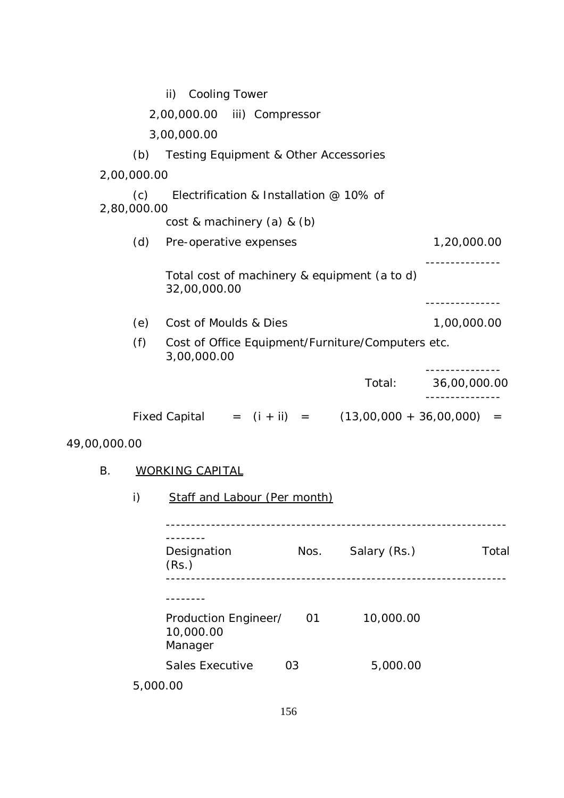|              |                    | ii)                            | Cooling Tower                                    |      |                                                          |              |
|--------------|--------------------|--------------------------------|--------------------------------------------------|------|----------------------------------------------------------|--------------|
|              |                    |                                | 2,00,000.00 iii) Compressor                      |      |                                                          |              |
|              |                    | 3,00,000.00                    |                                                  |      |                                                          |              |
|              | (b)                |                                | <b>Testing Equipment &amp; Other Accessories</b> |      |                                                          |              |
|              | 2,00,000.00        |                                |                                                  |      |                                                          |              |
|              | (c)<br>2,80,000.00 |                                | Electrification & Installation @ 10% of          |      |                                                          |              |
|              |                    |                                | $cost$ & machinery $(a)$ & $(b)$                 |      |                                                          |              |
|              | (d)                |                                | Pre-operative expenses                           |      |                                                          | 1,20,000.00  |
|              |                    | 32,00,000.00                   |                                                  |      | Total cost of machinery & equipment (a to d)             |              |
|              | (e)                |                                | Cost of Moulds & Dies                            |      |                                                          | 1,00,000.00  |
|              | (f)                | 3,00,000.00                    |                                                  |      | Cost of Office Equipment/Furniture/Computers etc.        |              |
|              |                    |                                |                                                  |      | Total:                                                   | 36,00,000.00 |
|              |                    |                                |                                                  |      | Fixed Capital = $(i + ii)$ = $(13,00,000 + 36,00,000)$ = |              |
| 49,00,000.00 |                    |                                |                                                  |      |                                                          |              |
| В.           |                    | <b>WORKING CAPITAL</b>         |                                                  |      |                                                          |              |
|              | i)                 |                                | <b>Staff and Labour (Per month)</b>              |      |                                                          |              |
|              |                    | Designation<br>(Rs.)           |                                                  | Nos. | Salary (Rs.)                                             | Total        |
|              |                    | ------<br>10,000.00<br>Manager | Production Engineer/                             | 01   | 10,000.00                                                |              |

5,000.00

Sales Executive 03 5,000.00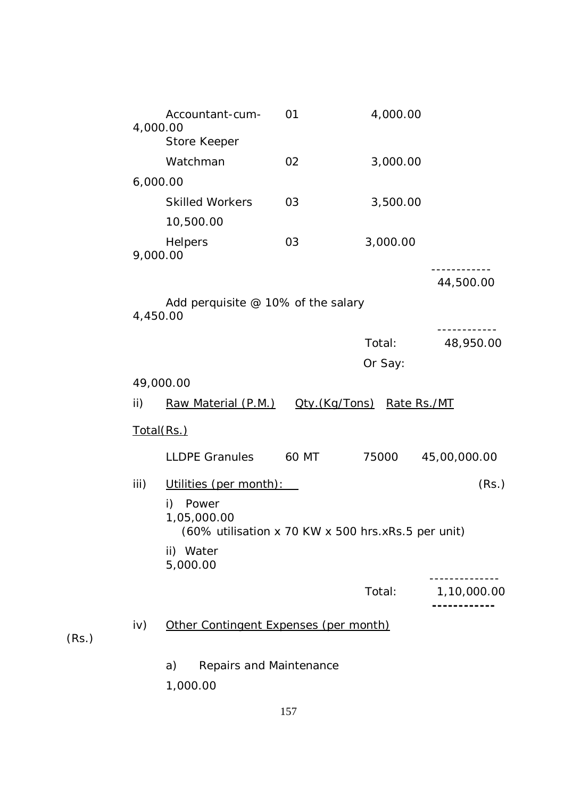|      | Accountant-cum-<br>4,000.00<br>Store Keeper                                      | 01    | 4,000.00                   |              |
|------|----------------------------------------------------------------------------------|-------|----------------------------|--------------|
|      | Watchman                                                                         | 02    | 3,000.00                   |              |
|      | 6,000.00                                                                         |       |                            |              |
|      | <b>Skilled Workers</b><br>10,500.00                                              | 03    | 3,500.00                   |              |
|      | Helpers<br>9,000.00                                                              | 03    | 3,000.00                   |              |
|      |                                                                                  |       |                            | 44,500.00    |
|      | Add perquisite $@$ 10% of the salary<br>4,450.00                                 |       |                            |              |
|      |                                                                                  |       | Total:                     | 48,950.00    |
|      |                                                                                  |       | Or Say:                    |              |
|      | 49,000.00                                                                        |       |                            |              |
| ii)  | Raw Material (P.M.)                                                              |       | Oty. (Kg/Tons) Rate Rs./MT |              |
|      | <u>Total(Rs.)</u>                                                                |       |                            |              |
|      | <b>LLDPE Granules</b>                                                            | 60 MT | 75000                      | 45,00,000.00 |
| iii) | Utilities (per month):                                                           |       |                            | (Rs.)        |
|      | i)<br>Power<br>1,05,000.00<br>(60% utilisation x 70 KW x 500 hrs.xRs.5 per unit) |       |                            |              |
|      | ii) Water<br>5,000.00                                                            |       |                            |              |
|      |                                                                                  |       | Total:                     | 1,10,000.00  |
| iv)  | Other Contingent Expenses (per month)                                            |       |                            |              |
|      | Repairs and Maintenance<br>a)<br>1,000.00                                        |       |                            |              |
|      |                                                                                  |       |                            |              |

(Rs.)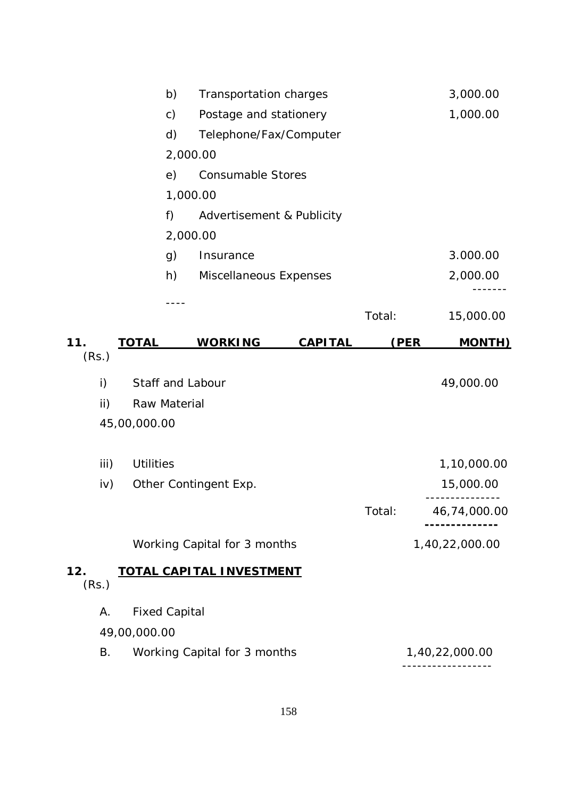|       |              |                      | b)            | Transportation charges          |                |        |      | 3,000.00       |
|-------|--------------|----------------------|---------------|---------------------------------|----------------|--------|------|----------------|
|       |              |                      | $\mathsf{c})$ | Postage and stationery          |                |        |      | 1,000.00       |
|       |              |                      | d)            | Telephone/Fax/Computer          |                |        |      |                |
|       |              |                      |               | 2,000.00                        |                |        |      |                |
|       |              |                      | e)            | <b>Consumable Stores</b>        |                |        |      |                |
|       |              |                      |               | 1,000.00                        |                |        |      |                |
|       |              |                      | f)            | Advertisement & Publicity       |                |        |      |                |
|       |              |                      |               | 2,000.00                        |                |        |      |                |
|       |              |                      | g)            | Insurance                       |                |        |      | 3.000.00       |
|       |              |                      | h)            | Miscellaneous Expenses          |                |        |      | 2,000.00       |
|       |              |                      |               |                                 |                |        |      |                |
|       |              |                      |               |                                 |                | Total: |      | 15,000.00      |
| 11.   |              | <b>TOTAL</b>         |               | <b>WORKING</b>                  | <b>CAPITAL</b> |        | (PER | <b>MONTH)</b>  |
| (Rs.) |              |                      |               |                                 |                |        |      |                |
|       | $\mathsf{i}$ | Staff and Labour     |               |                                 |                |        |      | 49,000.00      |
|       | ii)          | Raw Material         |               |                                 |                |        |      |                |
|       |              | 45,00,000.00         |               |                                 |                |        |      |                |
|       |              |                      |               |                                 |                |        |      |                |
|       | iii)         | <b>Utilities</b>     |               |                                 |                |        |      | 1,10,000.00    |
|       | iv)          |                      |               | Other Contingent Exp.           |                |        |      | 15,000.00      |
|       |              |                      |               |                                 |                | Total: |      | 46,74,000.00   |
|       |              |                      |               | Working Capital for 3 months    |                |        |      | 1,40,22,000.00 |
| 12.   |              |                      |               | <b>TOTAL CAPITAL INVESTMENT</b> |                |        |      |                |
| (Rs.) |              |                      |               |                                 |                |        |      |                |
|       | А.           | <b>Fixed Capital</b> |               |                                 |                |        |      |                |
|       |              | 49,00,000.00         |               |                                 |                |        |      |                |
|       | <b>B.</b>    |                      |               | Working Capital for 3 months    |                |        |      | 1,40,22,000.00 |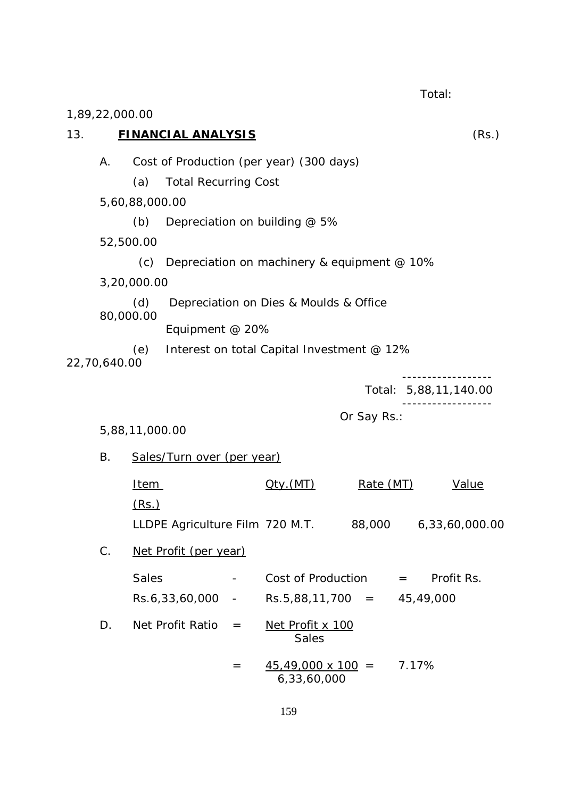Total: 1,89,22,000.00 13. **FINANCIAL ANALYSIS** (Rs.) A. Cost of Production (per year) (300 days) (a) Total Recurring Cost 5,60,88,000.00 (b) Depreciation on building  $@$  5% 52,500.00 (c) Depreciation on machinery & equipment  $@$  10% 3,20,000.00 (d) Depreciation on Dies & Moulds & Office 80,000.00 Equipment @ 20% (e) Interest on total Capital Investment @ 12% 22,70,640.00 ------------------ Total: 5,88,11,140.00 ------------------ Or Say Rs.: 5,88,11,000.00 B. Sales/Turn over (per year) Item  $Qty.(MT)$  Rate (MT) Value (Rs.) LLDPE Agriculture Film 720 M.T. 88,000 6,33,60,000.00 C. Net Profit (per year) Sales - Cost of Production = Profit Rs. Rs.6,33,60,000 - Rs.5,88,11,700 = 45,49,000 D. Net Profit Ratio = Net Profit x 100 **Sales**  $=$  45,49,000 x 100 = 7.17% 6,33,60,000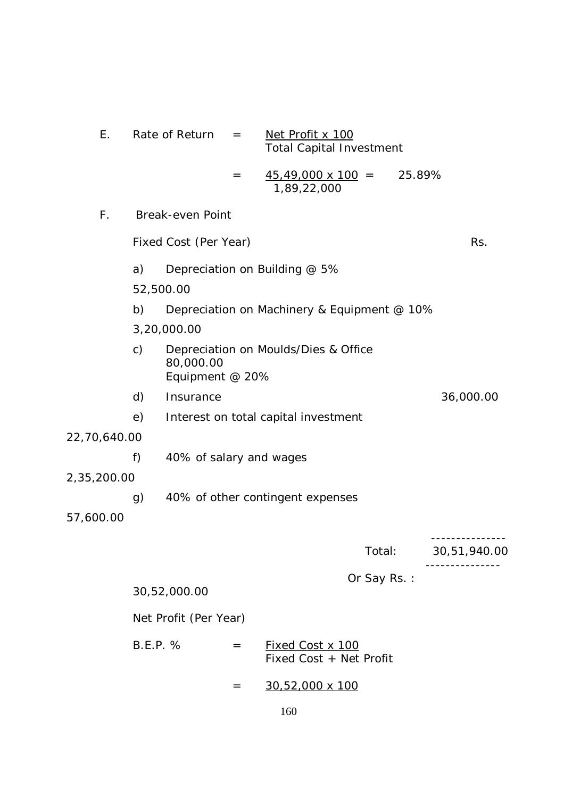| Ε.           |                 | Rate of Return               | $\!\!\!=\!\!\!$ | Net Profit x 100<br><b>Total Capital Investment</b> |             |              |
|--------------|-----------------|------------------------------|-----------------|-----------------------------------------------------|-------------|--------------|
|              |                 |                              | $=$             | $45,49,000 \times 100 =$<br>1,89,22,000             | 25.89%      |              |
| F.           |                 | <b>Break-even Point</b>      |                 |                                                     |             |              |
|              |                 | Fixed Cost (Per Year)        |                 |                                                     |             | Rs.          |
|              | a)              |                              |                 | Depreciation on Building @ 5%                       |             |              |
|              | 52,500.00       |                              |                 |                                                     |             |              |
|              | b)              |                              |                 | Depreciation on Machinery & Equipment @ 10%         |             |              |
|              |                 | 3,20,000.00                  |                 |                                                     |             |              |
|              | $\mathsf{c})$   | 80,000.00<br>Equipment @ 20% |                 | Depreciation on Moulds/Dies & Office                |             |              |
|              | d)              | Insurance                    |                 |                                                     |             | 36,000.00    |
|              | e)              |                              |                 | Interest on total capital investment                |             |              |
| 22,70,640.00 |                 |                              |                 |                                                     |             |              |
|              | f)              | 40% of salary and wages      |                 |                                                     |             |              |
| 2,35,200.00  |                 |                              |                 |                                                     |             |              |
|              | g)              |                              |                 | 40% of other contingent expenses                    |             |              |
| 57,600.00    |                 |                              |                 |                                                     |             |              |
|              |                 |                              |                 |                                                     | Total:      | 30,51,940.00 |
|              |                 |                              |                 |                                                     | Or Say Rs.: |              |
|              |                 | 30,52,000.00                 |                 |                                                     |             |              |
|              |                 | Net Profit (Per Year)        |                 |                                                     |             |              |
|              | <b>B.E.P. %</b> |                              | $=$             | Fixed Cost x 100<br>Fixed Cost + Net Profit         |             |              |
|              |                 |                              | $=$             | 30,52,000 x 100                                     |             |              |
|              |                 |                              |                 | 160                                                 |             |              |